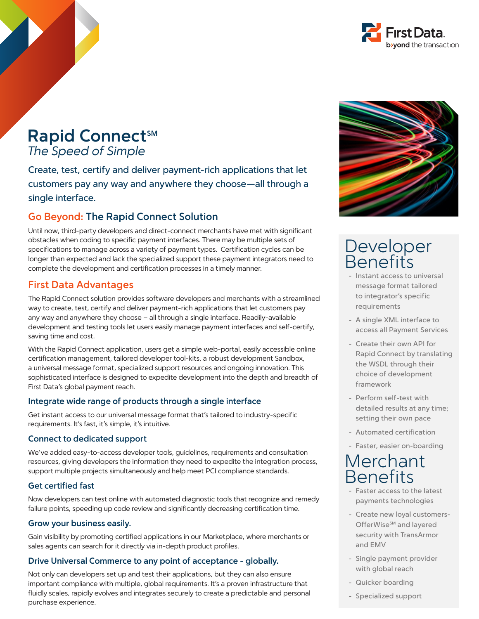

## Rapid Connect<sup>SM</sup> *The Speed of Simple*

Create, test, certify and deliver payment-rich applications that let customers pay any way and anywhere they choose—all through a single interface.

## **Go Beyond: The Rapid Connect Solution**

Until now, third-party developers and direct-connect merchants have met with significant obstacles when coding to specific payment interfaces. There may be multiple sets of specifications to manage across a variety of payment types. Certification cycles can be longer than expected and lack the specialized support these payment integrators need to complete the development and certification processes in a timely manner.

### **First Data Advantages**

The Rapid Connect solution provides software developers and merchants with a streamlined way to create, test, certify and deliver payment-rich applications that let customers pay any way and anywhere they choose – all through a single interface. Readily-available development and testing tools let users easily manage payment interfaces and self-certify, saving time and cost.

With the Rapid Connect application, users get a simple web-portal, easily accessible online certification management, tailored developer tool-kits, a robust development Sandbox, a universal message format, specialized support resources and ongoing innovation. This sophisticated interface is designed to expedite development into the depth and breadth of First Data's global payment reach.

### **Integrate wide range of products through a single interface**

Get instant access to our universal message format that's tailored to industry-specific requirements. It's fast, it's simple, it's intuitive.

### **Connect to dedicated support**

We've added easy-to-access developer tools, guidelines, requirements and consultation resources, giving developers the information they need to expedite the integration process, support multiple projects simultaneously and help meet PCI compliance standards.

### **Get certified fast**

Now developers can test online with automated diagnostic tools that recognize and remedy failure points, speeding up code review and significantly decreasing certification time.

#### **Grow your business easily.**

Gain visibility by promoting certified applications in our Marketplace, where merchants or sales agents can search for it directly via in-depth product profiles.

### **Drive Universal Commerce to any point of acceptance - globally.**

Not only can developers set up and test their applications, but they can also ensure important compliance with multiple, global requirements. It's a proven infrastructure that fluidly scales, rapidly evolves and integrates securely to create a predictable and personal purchase experience.



# Developer **Benefits**

- Instant access to universal message format tailored to integrator's specific requirements
- A single XML interface to access all Payment Services
- Create their own API for Rapid Connect by translating the WSDL through their choice of development framework
- Perform self-test with detailed results at any time; setting their own pace
- Automated certification
- Faster, easier on-boarding

# Merchant **Benefits**

- Faster access to the latest payments technologies
- Create new loyal customers-OfferWise<sup>sM</sup> and layered security with TransArmor and EMV
- Single payment provider with global reach
- Quicker boarding
- Specialized support